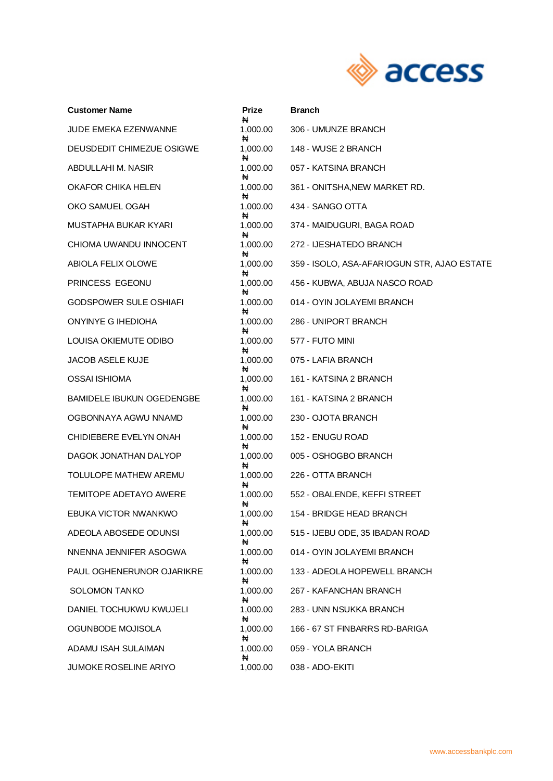

| <b>Customer Name</b>             | <b>Prize</b><br>₦  | <b>Branch</b>                               |
|----------------------------------|--------------------|---------------------------------------------|
| <b>JUDE EMEKA EZENWANNE</b>      | 1,000.00<br>₦      | 306 - UMUNZE BRANCH                         |
| DEUSDEDIT CHIMEZUE OSIGWE        | 1,000.00           | 148 - WUSE 2 BRANCH                         |
| ABDULLAHI M. NASIR               | ₦<br>1,000.00      | 057 - KATSINA BRANCH                        |
| OKAFOR CHIKA HELEN               | ₦<br>1,000.00      | 361 - ONITSHA, NEW MARKET RD.               |
| OKO SAMUEL OGAH                  | ₦<br>1,000.00      | 434 - SANGO OTTA                            |
| MUSTAPHA BUKAR KYARI             | ₦<br>1,000.00<br>₦ | 374 - MAIDUGURI, BAGA ROAD                  |
| CHIOMA UWANDU INNOCENT           | 1,000.00<br>₦      | 272 - IJESHATEDO BRANCH                     |
| ABIOLA FELIX OLOWE               | 1,000.00<br>₦      | 359 - ISOLO, ASA-AFARIOGUN STR, AJAO ESTATE |
| PRINCESS EGEONU                  | 1,000.00<br>₦      | 456 - KUBWA, ABUJA NASCO ROAD               |
| <b>GODSPOWER SULE OSHIAFI</b>    | 1,000.00<br>₦      | 014 - OYIN JOLAYEMI BRANCH                  |
| ONYINYE G IHEDIOHA               | 1,000.00<br>₦      | 286 - UNIPORT BRANCH                        |
| LOUISA OKIEMUTE ODIBO            | 1,000.00<br>₦      | 577 - FUTO MINI                             |
| JACOB ASELE KUJE                 | 1,000.00<br>₦      | 075 - LAFIA BRANCH                          |
| <b>OSSAI ISHIOMA</b>             | 1,000.00<br>₦      | 161 - KATSINA 2 BRANCH                      |
| <b>BAMIDELE IBUKUN OGEDENGBE</b> | 1,000.00<br>₦      | 161 - KATSINA 2 BRANCH                      |
| OGBONNAYA AGWU NNAMD             | 1,000.00<br>₦      | 230 - OJOTA BRANCH                          |
| CHIDIEBERE EVELYN ONAH           | 1,000.00<br>₦      | 152 - ENUGU ROAD                            |
| DAGOK JONATHAN DALYOP            | 1,000.00<br>₦      | 005 - OSHOGBO BRANCH                        |
| TOLULOPE MATHEW AREMU            | 1,000.00<br>₦      | 226 - OTTA BRANCH                           |
| <b>TEMITOPE ADETAYO AWERE</b>    | 1,000.00<br>₦      | 552 - OBALENDE, KEFFI STREET                |
| EBUKA VICTOR NWANKWO             | 1,000.00<br>₦      | 154 - BRIDGE HEAD BRANCH                    |
| ADEOLA ABOSEDE ODUNSI            | 1,000.00<br>₦      | 515 - IJEBU ODE, 35 IBADAN ROAD             |
| NNENNA JENNIFER ASOGWA           | 1,000.00           | 014 - OYIN JOLAYEMI BRANCH                  |
| PAUL OGHENERUNOR OJARIKRE        | ₦<br>1,000.00      | 133 - ADEOLA HOPEWELL BRANCH                |
| <b>SOLOMON TANKO</b>             | Ħ<br>1,000.00      | 267 - KAFANCHAN BRANCH                      |
| DANIEL TOCHUKWU KWUJELI          | ₦<br>1,000.00      | 283 - UNN NSUKKA BRANCH                     |
| OGUNBODE MOJISOLA                | Ħ<br>1,000.00      | 166 - 67 ST FINBARRS RD-BARIGA              |
| ADAMU ISAH SULAIMAN              | Ħ<br>1,000.00      | 059 - YOLA BRANCH                           |
| <b>JUMOKE ROSELINE ARIYO</b>     | ₦<br>1,000.00      | 038 - ADO-EKITI                             |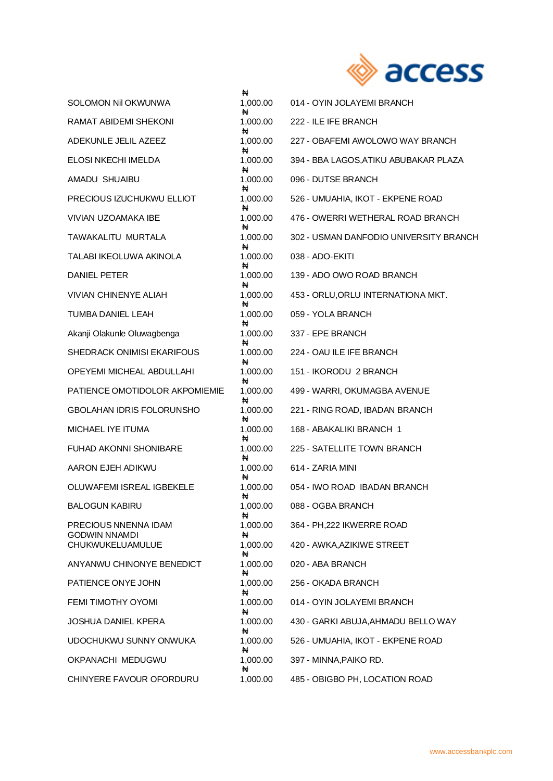

| <b>SOLOMON Nil OKWUNWA</b>                   | ₩<br>1,000.00      | 014 - OYIN JOLAYEMI BRANCH             |
|----------------------------------------------|--------------------|----------------------------------------|
| RAMAT ABIDEMI SHEKONI                        | ₦<br>1,000.00      | 222 - ILE IFE BRANCH                   |
| ADEKUNLE JELIL AZEEZ                         | ₦<br>1,000.00      | 227 - OBAFEMI AWOLOWO WAY BRANCH       |
| ELOSI NKECHI IMELDA                          | ₦<br>1,000.00      | 394 - BBA LAGOS, ATIKU ABUBAKAR PLAZA  |
| AMADU SHUAIBU                                | ₦<br>1,000.00      | 096 - DUTSE BRANCH                     |
| PRECIOUS IZUCHUKWU ELLIOT                    | ₩<br>1,000.00      | 526 - UMUAHIA, IKOT - EKPENE ROAD      |
| VIVIAN UZOAMAKA IBE                          | ₦<br>1,000.00      | 476 - OWERRI WETHERAL ROAD BRANCH      |
| TAWAKALITU MURTALA                           | ₦<br>1,000.00<br>₦ | 302 - USMAN DANFODIO UNIVERSITY BRANCH |
| TALABI IKEOLUWA AKINOLA                      | 1,000.00<br>₦      | 038 - ADO-EKITI                        |
| DANIEL PETER                                 | 1,000.00<br>₩      | 139 - ADO OWO ROAD BRANCH              |
| <b>VIVIAN CHINENYE ALIAH</b>                 | 1,000.00<br>₦      | 453 - ORLU, ORLU INTERNATIONA MKT.     |
| <b>TUMBA DANIEL LEAH</b>                     | 1,000.00           | 059 - YOLA BRANCH                      |
| Akanji Olakunle Oluwagbenga                  | ₦<br>1,000.00<br>₦ | 337 - EPE BRANCH                       |
| <b>SHEDRACK ONIMISI EKARIFOUS</b>            | 1,000.00           | 224 - OAU ILE IFE BRANCH               |
| OPEYEMI MICHEAL ABDULLAHI                    | ₦<br>1,000.00      | 151 - IKORODU 2 BRANCH                 |
| PATIENCE OMOTIDOLOR AKPOMIEMIE               | ₩<br>1,000.00      | 499 - WARRI, OKUMAGBA AVENUE           |
| <b>GBOLAHAN IDRIS FOLORUNSHO</b>             | ₦<br>1,000.00      | 221 - RING ROAD, IBADAN BRANCH         |
| MICHAEL IYE ITUMA                            | ₦<br>1,000.00      | 168 - ABAKALIKI BRANCH 1               |
| <b>FUHAD AKONNI SHONIBARE</b>                | ₦<br>1,000.00<br>₦ | 225 - SATELLITE TOWN BRANCH            |
| AARON EJEH ADIKWU                            | 1,000.00<br>₦      | 614 - ZARIA MINI                       |
| OLUWAFEMI ISREAL IGBEKELE                    | 1,000.00<br>₦      | 054 - IWO ROAD IBADAN BRANCH           |
| <b>BALOGUN KABIRU</b>                        | 1,000.00<br>₦      | 088 - OGBA BRANCH                      |
| PRECIOUS NNENNA IDAM<br><b>GODWIN NNAMDI</b> | 1,000.00<br>₦      | 364 - PH, 222 IKWERRE ROAD             |
| CHUKWUKELUAMULUE                             | 1,000.00<br>₦      | 420 - AWKA, AZIKIWE STREET             |
| ANYANWU CHINONYE BENEDICT                    | 1,000.00<br>₦      | 020 - ABA BRANCH                       |
| PATIENCE ONYE JOHN                           | 1,000.00<br>₦      | 256 - OKADA BRANCH                     |
| FEMI TIMOTHY OYOMI                           | 1,000.00<br>₦      | 014 - OYIN JOLAYEMI BRANCH             |
| <b>JOSHUA DANIEL KPERA</b>                   | 1,000.00<br>₦      | 430 - GARKI ABUJA, AHMADU BELLO WAY    |
| UDOCHUKWU SUNNY ONWUKA                       | 1,000.00<br>₦      | 526 - UMUAHIA, IKOT - EKPENE ROAD      |
| OKPANACHI MEDUGWU                            | 1,000.00<br>₦      | 397 - MINNA, PAIKO RD.                 |
| CHINYERE FAVOUR OFORDURU                     | 1,000.00           | 485 - OBIGBO PH, LOCATION ROAD         |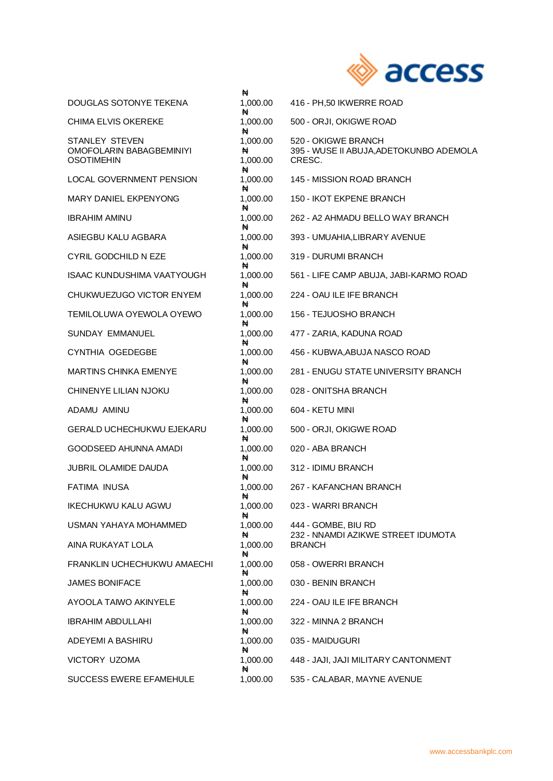

|                                                                        | ₦                         |                                                                          |
|------------------------------------------------------------------------|---------------------------|--------------------------------------------------------------------------|
| DOUGLAS SOTONYE TEKENA                                                 | 1,000.00<br>₦             | 416 - PH,50 IKWERRE ROAD                                                 |
| <b>CHIMA ELVIS OKEREKE</b>                                             | 1,000.00<br>₦             | 500 - ORJI, OKIGWE ROAD                                                  |
| <b>STANLEY STEVEN</b><br>OMOFOLARIN BABAGBEMINIYI<br><b>OSOTIMEHIN</b> | 1,000.00<br>₩<br>1,000.00 | 520 - OKIGWE BRANCH<br>395 - WUSE II ABUJA, ADETOKUNBO ADEMOLA<br>CRESC. |
| <b>LOCAL GOVERNMENT PENSION</b>                                        | ₦<br>1,000.00             | 145 - MISSION ROAD BRANCH                                                |
| <b>MARY DANIEL EKPENYONG</b>                                           | ₦<br>1,000.00             | 150 - IKOT EKPENE BRANCH                                                 |
| <b>IBRAHIM AMINU</b>                                                   | ₦<br>1,000.00             | 262 - A2 AHMADU BELLO WAY BRANCH                                         |
| ASIEGBU KALU AGBARA                                                    | ₦<br>1,000.00             | 393 - UMUAHIA, LIBRARY AVENUE                                            |
| CYRIL GODCHILD N EZE                                                   | ₦<br>1,000.00<br>₦        | 319 - DURUMI BRANCH                                                      |
| <b>ISAAC KUNDUSHIMA VAATYOUGH</b>                                      | 1,000.00<br>₦             | 561 - LIFE CAMP ABUJA, JABI-KARMO ROAD                                   |
| CHUKWUEZUGO VICTOR ENYEM                                               | 1,000.00<br>₦             | 224 - OAU ILE IFE BRANCH                                                 |
| TEMILOLUWA OYEWOLA OYEWO                                               | 1,000.00<br>₦             | 156 - TEJUOSHO BRANCH                                                    |
| <b>SUNDAY EMMANUEL</b>                                                 | 1,000.00<br>₦             | 477 - ZARIA, KADUNA ROAD                                                 |
| CYNTHIA OGEDEGBE                                                       | 1,000.00<br>₩             | 456 - KUBWA, ABUJA NASCO ROAD                                            |
| MARTINS CHINKA EMENYE                                                  | 1,000.00                  | 281 - ENUGU STATE UNIVERSITY BRANCH                                      |
| CHINENYE LILIAN NJOKU                                                  | ₦<br>1,000.00             | 028 - ONITSHA BRANCH                                                     |
| ADAMU AMINU                                                            | ₦<br>1,000.00             | 604 - KETU MINI                                                          |
| <b>GERALD UCHECHUKWU EJEKARU</b>                                       | ₦<br>1,000.00<br>₦        | 500 - ORJI, OKIGWE ROAD                                                  |
| <b>GOODSEED AHUNNA AMADI</b>                                           | 1,000.00                  | 020 - ABA BRANCH                                                         |
| <b>JUBRIL OLAMIDE DAUDA</b>                                            | ₦<br>1,000.00             | 312 - IDIMU BRANCH                                                       |
| <b>FATIMA INUSA</b>                                                    | ₦<br>1,000.00             | 267 - KAFANCHAN BRANCH                                                   |
| <b>IKECHUKWU KALU AGWU</b>                                             | ₦<br>1,000.00             | 023 - WARRI BRANCH                                                       |
| USMAN YAHAYA MOHAMMED                                                  | ₦<br>1,000.00             | 444 - GOMBE, BIU RD                                                      |
| AINA RUKAYAT LOLA                                                      | ₦<br>1,000.00             | 232 - NNAMDI AZIKWE STREET IDUMOTA<br><b>BRANCH</b>                      |
| FRANKLIN UCHECHUKWU AMAECHI                                            | ₦<br>1,000.00             | 058 - OWERRI BRANCH                                                      |
| <b>JAMES BONIFACE</b>                                                  | ₦<br>1,000.00             | 030 - BENIN BRANCH                                                       |
| AYOOLA TAIWO AKINYELE                                                  | ₦<br>1,000.00             | 224 - OAU ILE IFE BRANCH                                                 |
| <b>IBRAHIM ABDULLAHI</b>                                               | ₦<br>1,000.00             | 322 - MINNA 2 BRANCH                                                     |
| ADEYEMI A BASHIRU                                                      | ₦<br>1,000.00             | 035 - MAIDUGURI                                                          |
| VICTORY UZOMA                                                          | ₦<br>1,000.00             | 448 - JAJI, JAJI MILITARY CANTONMENT                                     |
| SUCCESS EWERE EFAMEHULE                                                | ₦<br>1,000.00             | 535 - CALABAR, MAYNE AVENUE                                              |